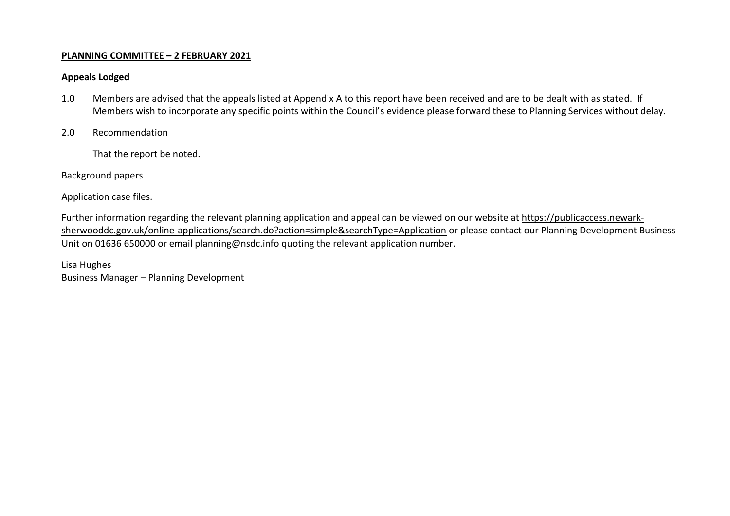## **PLANNING COMMITTEE – 2 FEBRUARY 2021**

## **Appeals Lodged**

- 1.0 Members are advised that the appeals listed at Appendix A to this report have been received and are to be dealt with as stated. If Members wish to incorporate any specific points within the Council's evidence please forward these to Planning Services without delay.
- 2.0 Recommendation

That the report be noted.

## Background papers

Application case files.

Further information regarding the relevant planning application and appeal can be viewed on our website at [https://publicaccess.newark](https://publicaccess.newark-sherwooddc.gov.uk/online-applications/search.do?action=simple&searchType=Application)[sherwooddc.gov.uk/online-applications/search.do?action=simple&searchType=Application](https://publicaccess.newark-sherwooddc.gov.uk/online-applications/search.do?action=simple&searchType=Application) or please contact our Planning Development Business Unit on 01636 650000 or email planning@nsdc.info quoting the relevant application number.

Lisa Hughes Business Manager – Planning Development